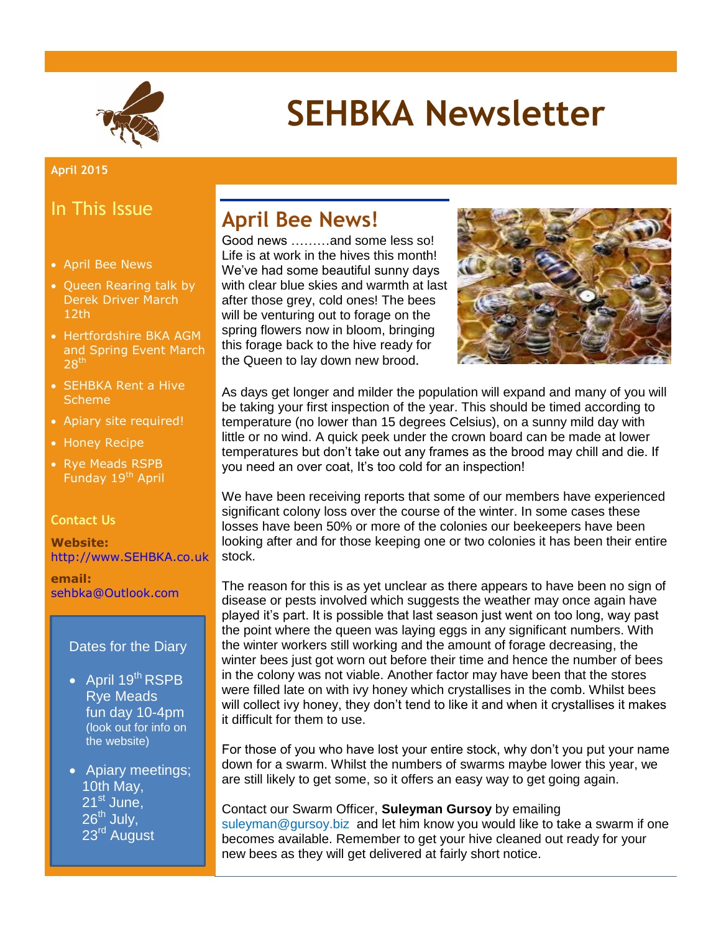

# **SEHBKA Newsletter**

#### **April 2015**

#### In This Issue

- April Bee News
- Queen Rearing talk by Derek Driver March 12th
- Hertfordshire BKA AGM and Spring Event March  $28<sup>th</sup>$
- SEHBKA Rent a Hive **Scheme**
- Apiary site required!
- Honey Recipe
- Rye Meads RSPB Funday 19<sup>th</sup> April

#### **Contact Us**

**Website:** [http://www.SEHBKA.co.uk](http://www.sehbka.co.uk/)

**email:** [sehbka@Outlook.com](mailto:sehbka@Outlook.com)

#### Dates for the Diary

- April 19<sup>th</sup> RSPB Rye Meads fun day 10-4pm (look out for info on the website)
- Apiary meetings; 10th May,  $21<sup>st</sup>$  June,  $26^{th}$  July, 23<sup>rd</sup> August

### **April Bee News!**

Good news ………and some less so! Life is at work in the hives this month! We've had some beautiful sunny days with clear blue skies and warmth at last after those grey, cold ones! The bees will be venturing out to forage on the spring flowers now in bloom, bringing this forage back to the hive ready for the Queen to lay down new brood.



As days get longer and milder the population will expand and many of you will be taking your first inspection of the year. This should be timed according to temperature (no lower than 15 degrees Celsius), on a sunny mild day with little or no wind. A quick peek under the crown board can be made at lower temperatures but don't take out any frames as the brood may chill and die. If you need an over coat, It's too cold for an inspection!

We have been receiving reports that some of our members have experienced significant colony loss over the course of the winter. In some cases these losses have been 50% or more of the colonies our beekeepers have been looking after and for those keeping one or two colonies it has been their entire stock.

The reason for this is as yet unclear as there appears to have been no sign of disease or pests involved which suggests the weather may once again have played it's part. It is possible that last season just went on too long, way past the point where the queen was laying eggs in any significant numbers. With the winter workers still working and the amount of forage decreasing, the winter bees just got worn out before their time and hence the number of bees in the colony was not viable. Another factor may have been that the stores were filled late on with ivy honey which crystallises in the comb. Whilst bees will collect ivy honey, they don't tend to like it and when it crystallises it makes it difficult for them to use.

For those of you who have lost your entire stock, why don't you put your name down for a swarm. Whilst the numbers of swarms maybe lower this year, we are still likely to get some, so it offers an easy way to get going again.

Contact our Swarm Officer, **Suleyman Gursoy** by emailing [suleyman@gursoy.biz](mailto:uleyman@gursoy.biz) and let him know you would like to take a swarm if one becomes available. Remember to get your hive cleaned out ready for your new bees as they will get delivered at fairly short notice.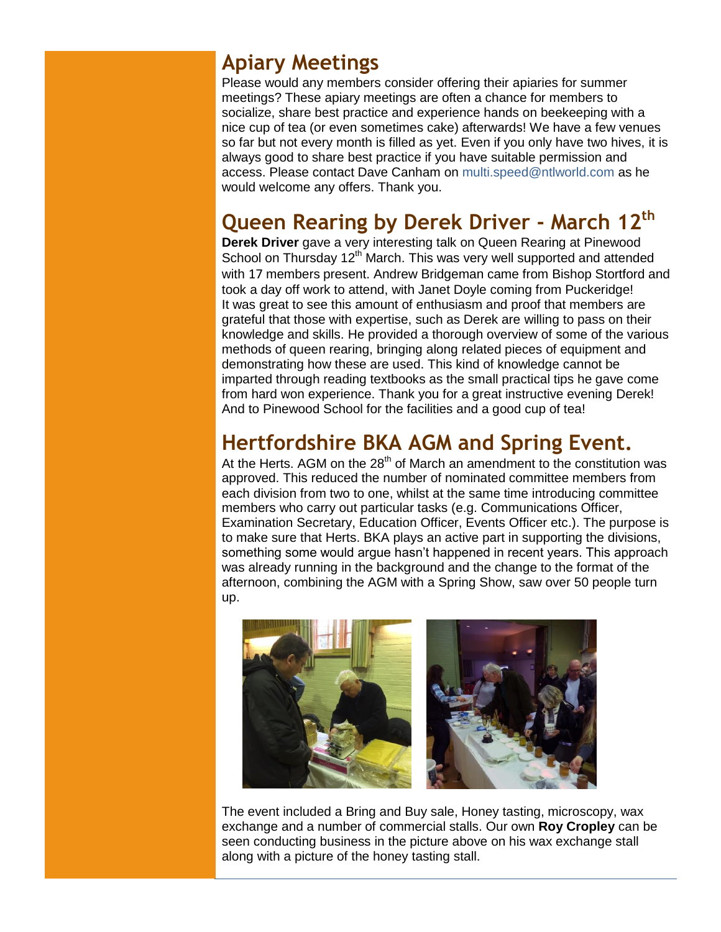### **Apiary Meetings**

Please would any members consider offering their apiaries for summer meetings? These apiary meetings are often a chance for members to socialize, share best practice and experience hands on beekeeping with a nice cup of tea (or even sometimes cake) afterwards! We have a few venues so far but not every month is filled as yet. Even if you only have two hives, it is always good to share best practice if you have suitable permission and access. Please contact Dave Canham on [multi.speed@ntlworld.com](mailto:multi.speed@ntlworld.com) as he would welcome any offers. Thank you.

## **Queen Rearing by Derek Driver - March 12th**

**Derek Driver** gave a very interesting talk on Queen Rearing at Pinewood School on Thursday 12<sup>th</sup> March. This was very well supported and attended with 17 members present. Andrew Bridgeman came from Bishop Stortford and took a day off work to attend, with Janet Doyle coming from Puckeridge! It was great to see this amount of enthusiasm and proof that members are grateful that those with expertise, such as Derek are willing to pass on their knowledge and skills. He provided a thorough overview of some of the various methods of queen rearing, bringing along related pieces of equipment and demonstrating how these are used. This kind of knowledge cannot be imparted through reading textbooks as the small practical tips he gave come from hard won experience. Thank you for a great instructive evening Derek! And to Pinewood School for the facilities and a good cup of tea!

## **Hertfordshire BKA AGM and Spring Event.**

At the Herts. AGM on the  $28<sup>th</sup>$  of March an amendment to the constitution was approved. This reduced the number of nominated committee members from each division from two to one, whilst at the same time introducing committee members who carry out particular tasks (e.g. Communications Officer, Examination Secretary, Education Officer, Events Officer etc.). The purpose is to make sure that Herts. BKA plays an active part in supporting the divisions, something some would argue hasn't happened in recent years. This approach was already running in the background and the change to the format of the afternoon, combining the AGM with a Spring Show, saw over 50 people turn up.



The event included a Bring and Buy sale, Honey tasting, microscopy, wax exchange and a number of commercial stalls. Our own **Roy Cropley** can be seen conducting business in the picture above on his wax exchange stall along with a picture of the honey tasting stall.